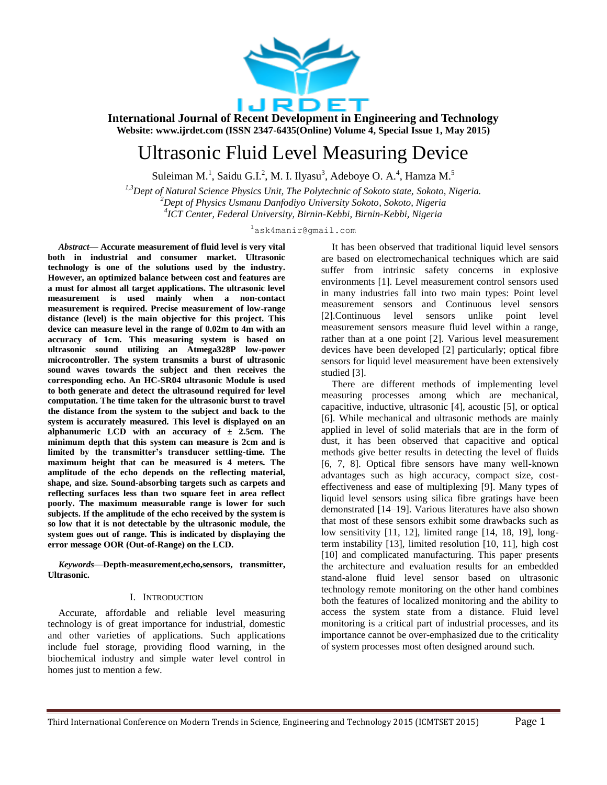

# Ultrasonic Fluid Level Measuring Device

Suleiman M.<sup>1</sup>, Saidu G.I.<sup>2</sup>, M. I. Ilyasu<sup>3</sup>, Adeboye O. A.<sup>4</sup>, Hamza M.<sup>5</sup>

*1,3Dept of Natural Science Physics Unit, The Polytechnic of Sokoto state, Sokoto, Nigeria. <sup>2</sup>Dept of Physics Usmanu Danfodiyo University Sokoto, Sokoto, Nigeria 4 ICT Center, Federal University, Birnin-Kebbi, Birnin-Kebbi, Nigeria*

<sup>1</sup>ask4manir@gmail.com

*Abstract***— Accurate measurement of fluid level is very vital both in industrial and consumer market. Ultrasonic technology is one of the solutions used by the industry. However, an optimized balance between cost and features are a must for almost all target applications. The ultrasonic level measurement is used mainly when a non-contact measurement is required. Precise measurement of low-range distance (level) is the main objective for this project. This device can measure level in the range of 0.02m to 4m with an accuracy of 1cm. This measuring system is based on ultrasonic sound utilizing an Atmega328P low-power microcontroller. The system transmits a burst of ultrasonic sound waves towards the subject and then receives the corresponding echo. An HC-SR04 ultrasonic Module is used to both generate and detect the ultrasound required for level computation. The time taken for the ultrasonic burst to travel the distance from the system to the subject and back to the system is accurately measured. This level is displayed on an alphanumeric LCD with an accuracy of ± 2.5cm. The minimum depth that this system can measure is 2cm and is limited by the transmitter's transducer settling-time. The maximum height that can be measured is 4 meters. The amplitude of the echo depends on the reflecting material, shape, and size. Sound-absorbing targets such as carpets and reflecting surfaces less than two square feet in area reflect poorly. The maximum measurable range is lower for such subjects. If the amplitude of the echo received by the system is so low that it is not detectable by the ultrasonic module, the system goes out of range. This is indicated by displaying the error message OOR (Out-of-Range) on the LCD.**

*Keywords*—**Depth-measurement,echo,sensors, transmitter, Ultrasonic.**

### I. INTRODUCTION

Accurate, affordable and reliable level measuring technology is of great importance for industrial, domestic and other varieties of applications. Such applications include fuel storage, providing flood warning, in the biochemical industry and simple water level control in homes just to mention a few.

It has been observed that traditional liquid level sensors are based on electromechanical techniques which are said suffer from intrinsic safety concerns in explosive environments [1]. Level measurement control sensors used in many industries fall into two main types: Point level measurement sensors and Continuous level sensors [2].Continuous level sensors unlike point level measurement sensors measure fluid level within a range, rather than at a one point [2]. Various level measurement devices have been developed [2] particularly; optical fibre sensors for liquid level measurement have been extensively studied [3].

There are different methods of implementing level measuring processes among which are mechanical, capacitive, inductive, ultrasonic [4], acoustic [5], or optical [6]. While mechanical and ultrasonic methods are mainly applied in level of solid materials that are in the form of dust, it has been observed that capacitive and optical methods give better results in detecting the level of fluids [6, 7, 8]. Optical fibre sensors have many well-known advantages such as high accuracy, compact size, costeffectiveness and ease of multiplexing [9]. Many types of liquid level sensors using silica fibre gratings have been demonstrated [14–19]. Various literatures have also shown that most of these sensors exhibit some drawbacks such as low sensitivity [11, 12], limited range [14, 18, 19], longterm instability [13], limited resolution [10, 11], high cost [10] and complicated manufacturing. This paper presents the architecture and evaluation results for an embedded stand-alone fluid level sensor based on ultrasonic technology remote monitoring on the other hand combines both the features of localized monitoring and the ability to access the system state from a distance. Fluid level monitoring is a critical part of industrial processes, and its importance cannot be over-emphasized due to the criticality of system processes most often designed around such.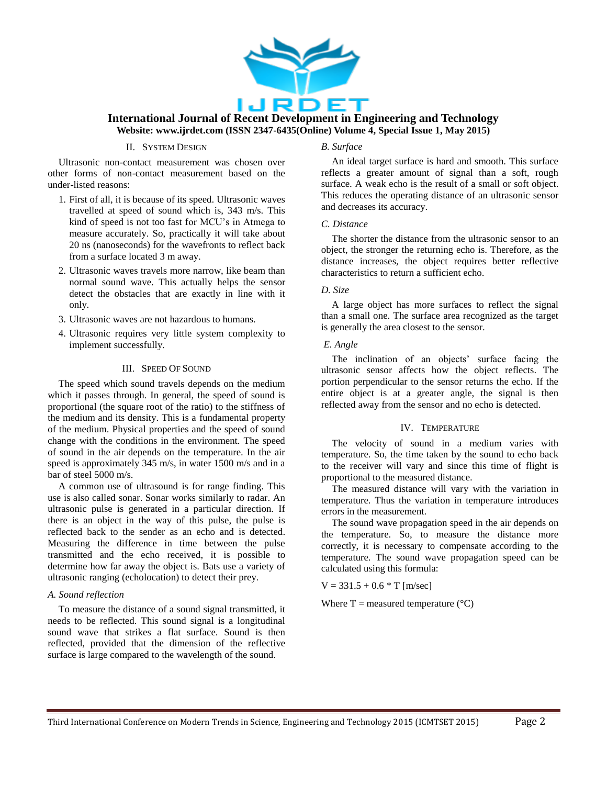

#### II. SYSTEM DESIGN

Ultrasonic non-contact measurement was chosen over other forms of non-contact measurement based on the under-listed reasons:

- 1. First of all, it is because of its speed. Ultrasonic waves travelled at speed of sound which is, 343 m/s. This kind of speed is not too fast for MCU's in Atmega to measure accurately. So, practically it will take about 20 ns (nanoseconds) for the wavefronts to reflect back from a surface located 3 m away.
- 2. Ultrasonic waves travels more narrow, like beam than normal sound wave. This actually helps the sensor detect the obstacles that are exactly in line with it only.
- 3. Ultrasonic waves are not hazardous to humans.
- 4. Ultrasonic requires very little system complexity to implement successfully.

### III. SPEED OF SOUND

The speed which sound travels depends on the medium which it passes through. In general, the speed of sound is proportional (the square root of the ratio) to the stiffness of the medium and its density. This is a fundamental property of the medium. Physical properties and the speed of sound change with the conditions in the environment. The speed of sound in the air depends on the temperature. In the air speed is approximately 345 m/s, in water 1500 m/s and in a bar of steel 5000 m/s.

A common use of ultrasound is for range finding. This use is also called sonar. Sonar works similarly to radar. An ultrasonic pulse is generated in a particular direction. If there is an object in the way of this pulse, the pulse is reflected back to the sender as an echo and is detected. Measuring the difference in time between the pulse transmitted and the echo received, it is possible to determine how far away the object is. Bats use a variety of ultrasonic ranging (echolocation) to detect their prey.

### *A. Sound reflection*

To measure the distance of a sound signal transmitted, it needs to be reflected. This sound signal is a longitudinal sound wave that strikes a flat surface. Sound is then reflected, provided that the dimension of the reflective surface is large compared to the wavelength of the sound.

## *B. Surface*

An ideal target surface is hard and smooth. This surface reflects a greater amount of signal than a soft, rough surface. A weak echo is the result of a small or soft object. This reduces the operating distance of an ultrasonic sensor and decreases its accuracy.

#### *C. Distance*

The shorter the distance from the ultrasonic sensor to an object, the stronger the returning echo is. Therefore, as the distance increases, the object requires better reflective characteristics to return a sufficient echo.

### *D. Size*

A large object has more surfaces to reflect the signal than a small one. The surface area recognized as the target is generally the area closest to the sensor.

## *E. Angle*

The inclination of an objects' surface facing the ultrasonic sensor affects how the object reflects. The portion perpendicular to the sensor returns the echo. If the entire object is at a greater angle, the signal is then reflected away from the sensor and no echo is detected.

## IV. TEMPERATURE

The velocity of sound in a medium varies with temperature. So, the time taken by the sound to echo back to the receiver will vary and since this time of flight is proportional to the measured distance.

The measured distance will vary with the variation in temperature. Thus the variation in temperature introduces errors in the measurement.

The sound wave propagation speed in the air depends on the temperature. So, to measure the distance more correctly, it is necessary to compensate according to the temperature. The sound wave propagation speed can be calculated using this formula:

 $V = 331.5 + 0.6 * T$  [m/sec]

Where  $T =$  measured temperature ( $\degree$ C)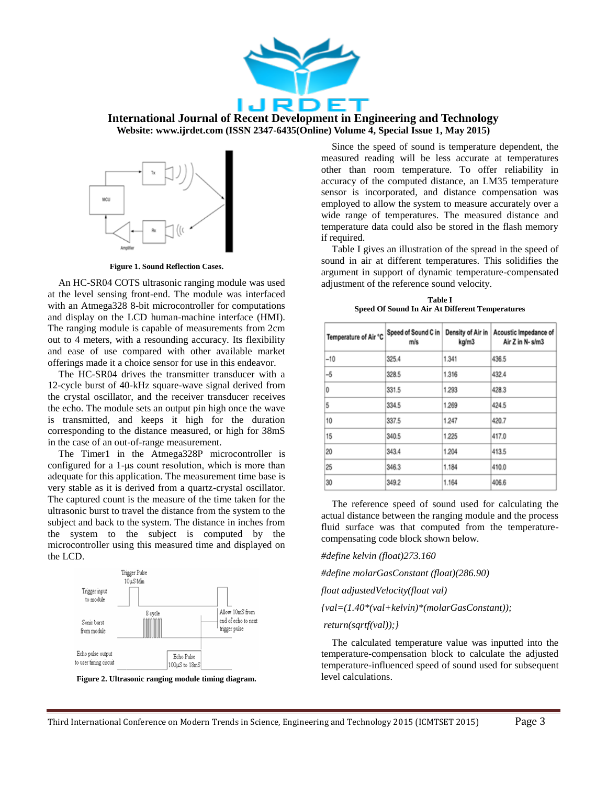



**Figure 1. Sound Reflection Cases.**

An HC-SR04 COTS ultrasonic ranging module was used at the level sensing front-end. The module was interfaced with an Atmega328 8-bit microcontroller for computations and display on the LCD human-machine interface (HMI). The ranging module is capable of measurements from 2cm out to 4 meters, with a resounding accuracy. Its flexibility and ease of use compared with other available market offerings made it a choice sensor for use in this endeavor.

The HC-SR04 drives the transmitter transducer with a 12-cycle burst of 40-kHz square-wave signal derived from the crystal oscillator, and the receiver transducer receives the echo. The module sets an output pin high once the wave is transmitted, and keeps it high for the duration corresponding to the distance measured, or high for 38mS in the case of an out-of-range measurement.

The Timer1 in the Atmega328P microcontroller is configured for a 1-μs count resolution, which is more than adequate for this application. The measurement time base is very stable as it is derived from a quartz-crystal oscillator. The captured count is the measure of the time taken for the ultrasonic burst to travel the distance from the system to the subject and back to the system. The distance in inches from the system to the subject is computed by the microcontroller using this measured time and displayed on the LCD.





Since the speed of sound is temperature dependent, the measured reading will be less accurate at temperatures other than room temperature. To offer reliability in accuracy of the computed distance, an LM35 temperature sensor is incorporated, and distance compensation was employed to allow the system to measure accurately over a wide range of temperatures. The measured distance and temperature data could also be stored in the flash memory if required.

Table I gives an illustration of the spread in the speed of sound in air at different temperatures. This solidifies the argument in support of dynamic temperature-compensated adjustment of the reference sound velocity.

| Temperature of Air °C | Speed of Sound C in<br>m/s | Density of Air in<br>kg/m3 | Acoustic Impedance of<br>Air Z in N- s/m3 |
|-----------------------|----------------------------|----------------------------|-------------------------------------------|
| $-10$                 | 325.4                      | 1.341                      | 436.5                                     |
| $-5$                  | 328.5                      | 1.316                      | 432.4                                     |
| 0                     | 331.5                      | 1.293                      | 428.3                                     |
| 5                     | 334.5                      | 1.269                      | 424.5                                     |
| 10                    | 337.5                      | 1.247                      | 420.7                                     |
| 15                    | 340.5                      | 1.225                      | 417.0                                     |
| 20                    | 343.4                      | 1.204                      | 413.5                                     |
| 25                    | 346.3                      | 1.184                      | 410.0                                     |
| 30                    | 349.2                      | 1.164                      | 406.6                                     |

**Table I Speed Of Sound In Air At Different Temperatures**

The reference speed of sound used for calculating the actual distance between the ranging module and the process fluid surface was that computed from the temperaturecompensating code block shown below.

*#define kelvin (float)273.160*

*#define molarGasConstant (float)(286.90)*

*float adjustedVelocity(float val)*

*{val=(1.40\*(val+kelvin)\*(molarGasConstant));*

*return(sqrtf(val));}*

The calculated temperature value was inputted into the temperature-compensation block to calculate the adjusted temperature-influenced speed of sound used for subsequent level calculations.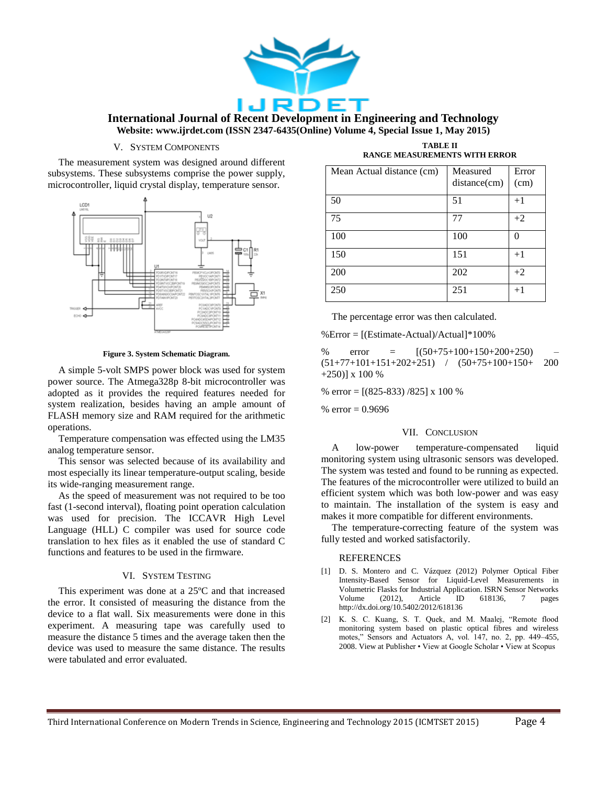

## V. SYSTEM COMPONENTS

The measurement system was designed around different subsystems. These subsystems comprise the power supply, microcontroller, liquid crystal display, temperature sensor.



**Figure 3. System Schematic Diagram.**

A simple 5-volt SMPS power block was used for system power source. The Atmega328p 8-bit microcontroller was adopted as it provides the required features needed for system realization, besides having an ample amount of FLASH memory size and RAM required for the arithmetic operations.

Temperature compensation was effected using the LM35 analog temperature sensor.

This sensor was selected because of its availability and most especially its linear temperature-output scaling, beside its wide-ranging measurement range.

As the speed of measurement was not required to be too fast (1-second interval), floating point operation calculation was used for precision. The ICCAVR High Level Language (HLL) C compiler was used for source code translation to hex files as it enabled the use of standard C functions and features to be used in the firmware.

#### VI. SYSTEM TESTING

This experiment was done at a 25ºC and that increased the error. It consisted of measuring the distance from the device to a flat wall. Six measurements were done in this experiment. A measuring tape was carefully used to measure the distance 5 times and the average taken then the device was used to measure the same distance. The results were tabulated and error evaluated.

**TABLE II RANGE MEASUREMENTS WITH ERROR**

| Mean Actual distance (cm) | Measured<br>$distance$ (cm) | Error<br>(cm) |
|---------------------------|-----------------------------|---------------|
| 50                        | 51                          | $+1$          |
| 75                        | 77                          | $+2$          |
| 100                       | 100                         |               |
| 150                       | 151                         | $+1$          |
| 200                       | 202                         | $+2$          |
| 250                       | 251                         | $+1$          |

The percentage error was then calculated.

%Error = [(Estimate-Actual)/Actual]\*100%

% error =  $[(50+75+100+150+200+250)$ (51+77+101+151+202+251) / (50+75+100+150+ 200 +250)] x 100 %

% error = [(825-833) /825] x 100 %

% error =  $0.9696$ 

#### VII. CONCLUSION

A low-power temperature-compensated liquid monitoring system using ultrasonic sensors was developed. The system was tested and found to be running as expected. The features of the microcontroller were utilized to build an efficient system which was both low-power and was easy to maintain. The installation of the system is easy and makes it more compatible for different environments.

The temperature-correcting feature of the system was fully tested and worked satisfactorily.

#### **REFERENCES**

- [1] D. S. Montero and C. Vázquez (2012) Polymer Optical Fiber Intensity-Based Sensor for Liquid-Level Measurements in Volumetric Flasks for Industrial Application. ISRN Sensor Networks<br>Volume (2012), Article ID 618136, 7 pages Volume (2012), Article ID 618136, 7 pages http://dx.doi.org/10.5402/2012/618136
- [2] K. S. C. Kuang, S. T. Quek, and M. Maalej, "Remote flood monitoring system based on plastic optical fibres and wireless motes," Sensors and Actuators A, vol. 147, no. 2, pp. 449-455, 2008. View at Publisher • View at Google Scholar • View at Scopus